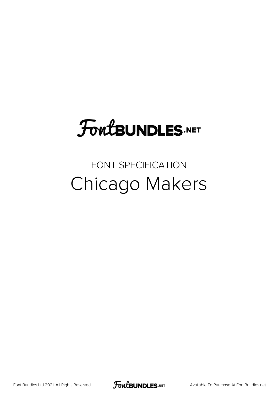### **FoutBUNDLES.NET**

#### FONT SPECIFICATION Chicago Makers

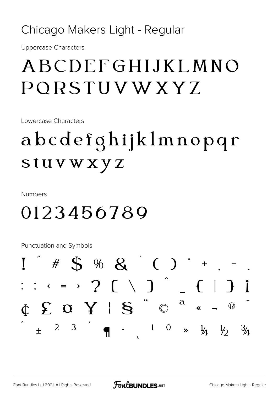Chicago Makers Light - Regular

**Uppercase Characters** 

#### **ABCDEFGHIJKLMNO** PORSTUVWXYZ

Lowercase Characters

### abcdefghijklmnopqr stuvwxyz

**Numbers** 

#### 0123456789

**Punctuation and Symbols** 

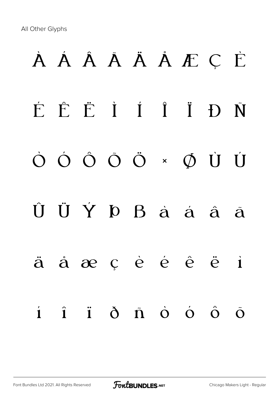All Other Glyphs

### À Á Â Ã Ä Å Æ Ç È É Ê Ë Ì Í Î Ï Ð Ñ Ò Ó Ô Õ Ö × Ø Ù Ú Û Ü Ý Þ ß à á â ã ä å æ ç è é ê ë ì í î ï ð ñ ò ó ô õ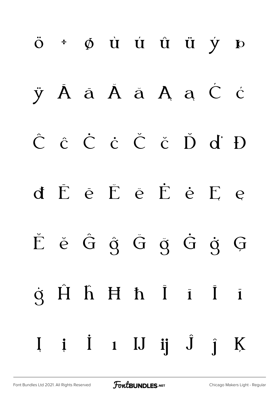### ö + øù ú ú ü ý p ÿÀāĂă ĄąĆć Ĉ ĉ Ċ ċ Č č Ď ď Đ d Ē ē Ĕ ĕ Ė ė E e Ě ě Ĝ ĝ Ğ ğ Ğ ġ Ģ  $\dot{\alpha}$   $\dot{H}$   $\dot{\text{h}}$   $\dot{\text{h}}$   $\dot{\text{h}}$   $\dot{\text{I}}$   $\dot{\text{I}}$   $\dot{\text{I}}$   $\dot{\text{I}}$  $\mathbf{I}$   $\mathbf{i}$   $\mathbf{I}$   $\mathbf{I}$   $\mathbf{I}$   $\mathbf{I}$   $\mathbf{j}$   $\mathbf{i}$   $\mathbf{j}$   $\mathbf{i}$ K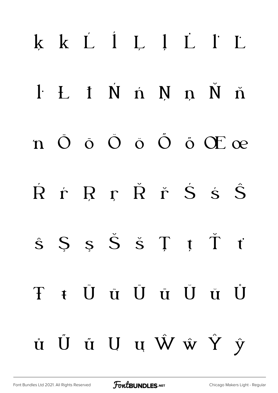# k k Ĺ ĺ Ļ ļ L l L  $l$   $L$   $1$   $N$   $n$   $N$   $n$   $N$   $n$ n Ō ō Ŏ ŏ Ő ő Œ œ ŔŕŖŗŘřŚśŜ  $\hat{s}$  S s  $\check{S}$   $\check{s}$  T t  $\check{T}$  t T t Ŭ ŭ Ū ū Ŭ ŭ Ů *u* U U U W w Y y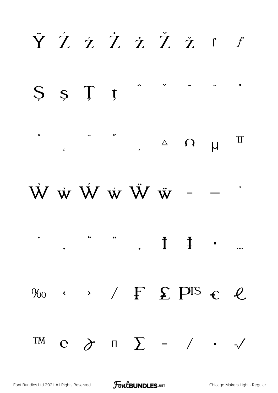### $\ddot{Y}$   $\dot{Z}$   $\dot{Z}$   $\ddot{Z}$   $\ddot{Z}$   $\ddot{Y}$   $\ddot{Y}$

 $S \simeq T$  t

 $\mathbf T$ 

 $\dot{W}$  w  $\dot{W}$  w  $\ddot{W}$  w -

 $\begin{array}{ccccccccccccccccc} \bullet & & & & & & & & \bullet & & & & \bullet & & & & \bullet & & & & \bullet & & & & \bullet & & & & \bullet & & & & \bullet & & & & \bullet & & & & \bullet & & & & \bullet & & & & \bullet & & & & \bullet & & & & \bullet & & & & \bullet & & & & \bullet & & & & \bullet & & & & \bullet & & & & \bullet & & & & \bullet & & & & \bullet & & & & \bullet & & & & \bullet & & & & \bullet & & & & \bullet & & & & \bullet & & & & \bullet & & & & \bullet & & & & \bullet & & & & \bullet & & & & \bullet & & & & \bullet & & & & \bullet & & & & \bullet & & & & \$ 

 $\%$   $\longleftrightarrow$  /  $\uparrow$   $\uparrow$   $\uparrow$   $\uparrow$   $\uparrow$   $\uparrow$   $\downarrow$  $e$   $\partial$   $\Box$   $\Box$   $\Box$   $\Box$   $\Box$ TM

 $I \quad I \quad \cdot$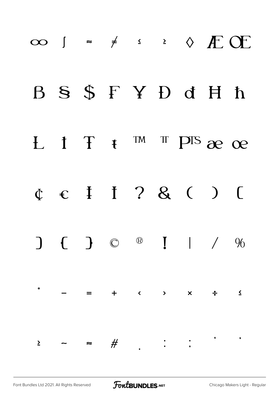|  |  |  | B S S F Y D d H h                                                                                                                                                                                                                                                                                                                                                                                                                                                            |  |
|--|--|--|------------------------------------------------------------------------------------------------------------------------------------------------------------------------------------------------------------------------------------------------------------------------------------------------------------------------------------------------------------------------------------------------------------------------------------------------------------------------------|--|
|  |  |  | L 1 T $\mathfrak{t}$ $\mathfrak{m}$ $\mathfrak{m}$ $\mathfrak{p}$ $\mathfrak{p}$ $\mathfrak{m}$ $\alpha$                                                                                                                                                                                                                                                                                                                                                                     |  |
|  |  |  | $\Phi \in H$ 1 ? & ( ) (                                                                                                                                                                                                                                                                                                                                                                                                                                                     |  |
|  |  |  |                                                                                                                                                                                                                                                                                                                                                                                                                                                                              |  |
|  |  |  | * $ =$ $+$ $\leftarrow$ $\leftarrow$ $\leftarrow$ $\leftarrow$ $\leftarrow$ $\leftarrow$ $\leftarrow$ $\leftarrow$ $\leftarrow$ $\leftarrow$ $\leftarrow$ $\leftarrow$ $\leftarrow$ $\leftarrow$ $\leftarrow$ $\leftarrow$ $\leftarrow$ $\leftarrow$ $\leftarrow$ $\leftarrow$ $\leftarrow$ $\leftarrow$ $\leftarrow$ $\leftarrow$ $\leftarrow$ $\leftarrow$ $\leftarrow$ $\leftarrow$ $\leftarrow$ $\leftarrow$ $\leftarrow$ $\leftarrow$ $\leftarrow$ $\leftarrow$ $\left$ |  |
|  |  |  | $\frac{1}{2}$ - = # . : : : '                                                                                                                                                                                                                                                                                                                                                                                                                                                |  |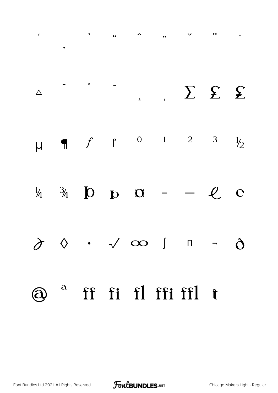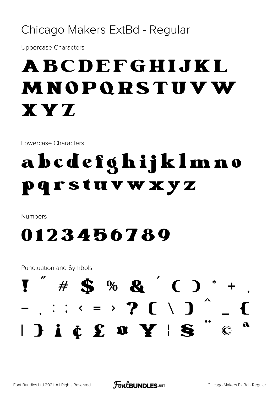#### Chicago Makers ExtBd - Regular

**Uppercase Characters** 

### ABCDEFGHIJKL MNOPQRSTUVW **XYZ**

Lowercase Characters

### abcdefghijklmno pqrstuvwxyz

**Numbers** 

#### 0123456789

**Punctuation and Symbols** 

#### $\# \ \ \, \clubsuit \ \ \, \% \ \ \, \clubsuit \ \ \, \stackrel{\prime}{\bullet} \ \ \, (\ \ \, )$  $-$  . : : < = > ? [ \ ] ^ a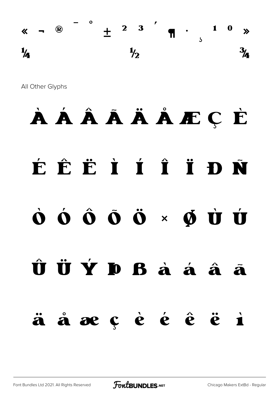

All Other Glyphs

### **À Á Â Ã Ä Å Æ Ç È É Ê Ë Ì Í Î Ï Ð Ñ Ò Ó Ô Õ Ö × Ø Ù Ú Û Ü Ý Þ ß à á â ã ä å æ ç è é ê ë ì**

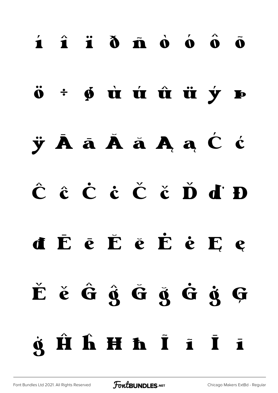# **í î ï ð ñ ò ó ô õ ö ÷ ø ù ú û ü ý þ ÿ Ā ā Ă ă Ą ą Ć ć Ĉ ĉ Ċ ċ Č č Ď ď Đ đ Ē ē Ĕ ĕ Ė ė Ę ę Ě ě Ĝ ĝ Ğ ğ Ġ ġ Ģ ģ Ĥ ĥ Ħ ħ Ĩ ĩ Ī ī**

[Font Bundles Ltd 2021. All Rights Reserved](https://fontbundles.net/) **FoutBUNDLES.NET** [Chicago Makers ExtBd - Regular](https://fontbundles.net/)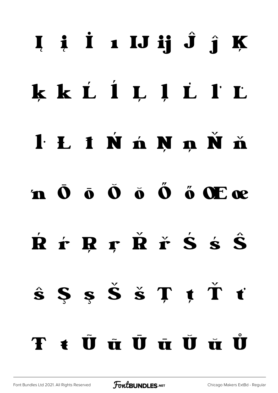## I i İ ı IJ ij Ĵ ĵ K kk L I L I L I L  $1$  L I N n N n N n  $\mathbf n$   $\bar{\mathbf 0}$   $\bar{\mathbf 0}$   $\bar{\mathbf 0}$   $\ddot{\mathbf 0}$   $\ddot{\mathbf 0}$   $\ddot{\mathbf 0}$   $\mathbf C$   $\mathbf{0}$ RrFFFFSSS  $\hat{\mathbf{s}}$   $\mathbf{S}$   $\hat{\mathbf{s}}$   $\check{\mathbf{S}}$   $\check{\mathbf{s}}$   $\mathbf{T}$   $\mathbf{t}$   $\check{\mathbf{T}}$   $\mathbf{t}$ **T** t Ü ū Ü ū Ü ŭ Ü

**FoutBUNDLES**.NET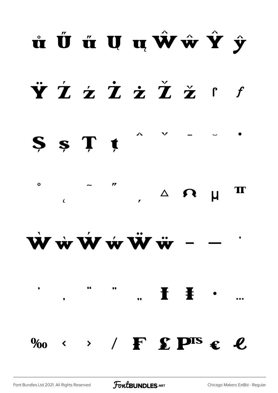

FontBUNDLES.NET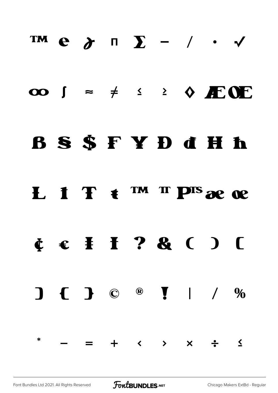## **™ ℮ ∂ ∏ ∑ − ∕ ∙ √ ∞ ∫ ≈ ≠ ≤ ≥ ◊ BSSFYDdHh** L 1 T  $\mathbf{t}$  <sup>TM</sup> T  $\mathbf{P}$ <sup>IS</sup> ae de  $C \in H$  ? & ( ) (  $\begin{array}{ccccccccccccccccccccccccc}\n\end{array}$ \*  $-$  = + < > x  $\div$  <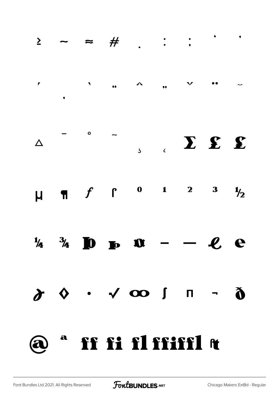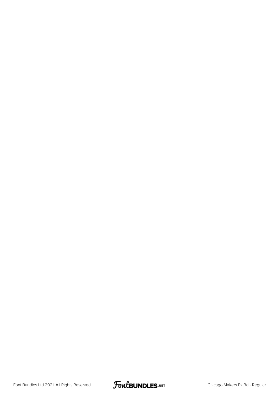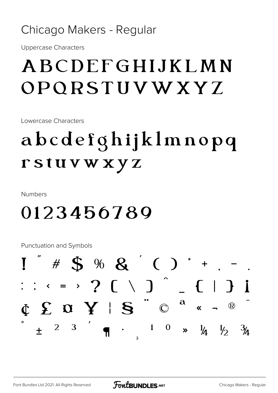#### Chicago Makers - Regular

**Uppercase Characters** 

#### **ABCDEFGHIJKLMN** OPORSTUVWXYZ

Lowercase Characters

### abcdefghijklmnopq rstuvwxyz

**Numbers** 

#### 0123456789

**Punctuation and Symbols** 

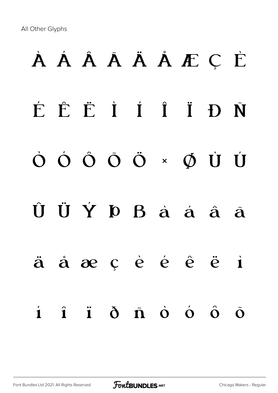All Other Glyphs

### À Á Â Ã Ä Å Æ Ç È É Ê Ë Ì Í Î Ï Ð Ñ Ò Ó Ô Õ Ö × Ø Ù Ú  $\hat{U}$   $\hat{U}$   $\hat{Y}$   $\hat{D}$   $\hat{B}$   $\hat{a}$   $\hat{a}$   $\hat{a}$   $\hat{a}$ ä å æ ç è é ê ë ì í î ï ð ñ ò ó ô õ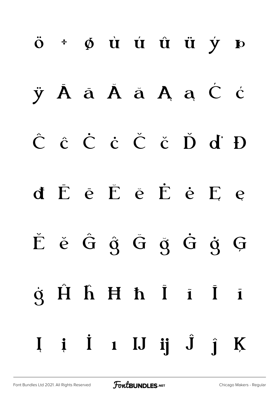### $\ddot{\mathrm{o}}$   $\div$   $\phi$   $\dot{\mathrm{u}}$   $\dot{\mathrm{u}}$   $\ddot{\mathrm{u}}$   $\ddot{\mathrm{u}}$   $\dot{\mathrm{v}}$   $\mathrm{v}$   $\mathrm{v}$ ÿÀāĂ㥹Ćć Ĉ ĉ Ċ ċ Č č Ď ď Đ d Ē ē Ĕ ĕ Ė ė E e  $\check{E}$   $\check{e}$   $\hat{G}$   $\hat{g}$   $\check{G}$   $\check{g}$   $\hat{G}$   $\check{g}$   $\hat{G}$  $\dot{\alpha}$   $\dot{H}$   $\dot{h}$   $\dot{H}$   $\dot{h}$   $\dot{I}$   $\dot{I}$   $\dot{I}$  $\mathbf{I}$  i i i  $\mathbf{I}$  ij  $\hat{\mathbf{J}}$  i Ķ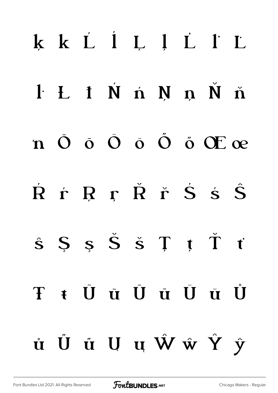# k k Ĺ ĺ Ļ ļ Ľ ľ Ľ ŀ Ł ł Ń ń Ņ ņ Ň ň 'n Ō ō Ŏ ŏ Ő ő Œ œ Ŕ ŕ Ŗ ŗ Ř ř Ś ś Ŝ  $\hat{s}$  S  $\hat{s}$   $\check{s}$   $\hat{T}$   $\hat{T}$   $\check{T}$ Ŧ ŧ Ũ ũ Ū ū Ŭ ŭ Ů ů Ű ű Ų ų Ŵ ŵ Ŷ ŷ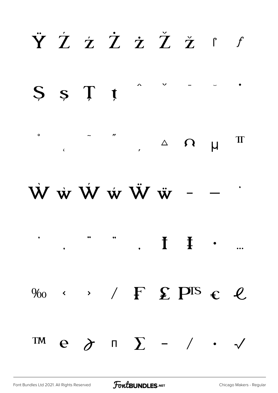### ŸŽŽŽŽŽŽrf

 $S \simeq T$  t  $\bullet$  $\mathbf{T}$  $\mu \circ \Delta$  $\epsilon$ 



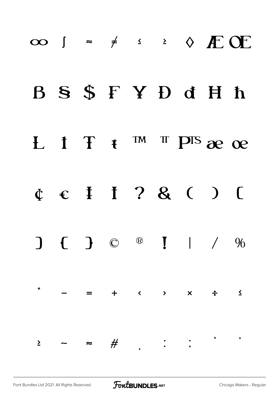|  |  |  | $\infty$ $\rightarrow$ $\neq$ $\rightarrow$ $\rightarrow$ $\rightarrow$ $\rightarrow$ OE                                                                                                                                                                                                                                                                                                                                                                                     |  |
|--|--|--|------------------------------------------------------------------------------------------------------------------------------------------------------------------------------------------------------------------------------------------------------------------------------------------------------------------------------------------------------------------------------------------------------------------------------------------------------------------------------|--|
|  |  |  | B S S F Y D d H h                                                                                                                                                                                                                                                                                                                                                                                                                                                            |  |
|  |  |  | L 1 T $\mathbf{t}$ $\mathbf{m}$ $\mathbf{m}$ $\mathbf{p}$ $\mathbf{p}$ $\mathbf{p}$ $\mathbf{p}$ $\mathbf{p}$ $\mathbf{p}$                                                                                                                                                                                                                                                                                                                                                   |  |
|  |  |  | $\Phi \quad \varepsilon \quad \text{if} \quad \Omega \quad \text{and} \quad \Omega \quad \Omega$                                                                                                                                                                                                                                                                                                                                                                             |  |
|  |  |  |                                                                                                                                                                                                                                                                                                                                                                                                                                                                              |  |
|  |  |  | * $ =$ $+$ $\leftarrow$ $\leftarrow$ $\leftarrow$ $\leftarrow$ $\leftarrow$ $\leftarrow$ $\leftarrow$ $\leftarrow$ $\leftarrow$ $\leftarrow$ $\leftarrow$ $\leftarrow$ $\leftarrow$ $\leftarrow$ $\leftarrow$ $\leftarrow$ $\leftarrow$ $\leftarrow$ $\leftarrow$ $\leftarrow$ $\leftarrow$ $\leftarrow$ $\leftarrow$ $\leftarrow$ $\leftarrow$ $\leftarrow$ $\leftarrow$ $\leftarrow$ $\leftarrow$ $\leftarrow$ $\leftarrow$ $\leftarrow$ $\leftarrow$ $\leftarrow$ $\left$ |  |
|  |  |  | $\geq$ $\sim$ $\approx$ $\#$ . : : : $\cdot$                                                                                                                                                                                                                                                                                                                                                                                                                                 |  |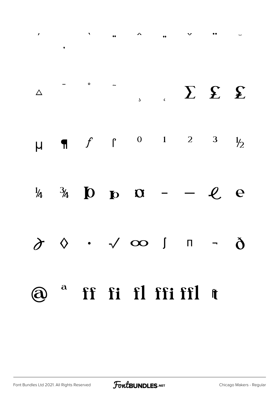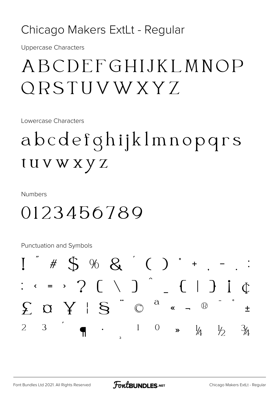#### Chicago Makers ExtLt - Regular

**Uppercase Characters** 

#### ABCDEFGHIJKLMNOP ORSTUVWXYZ

Lowercase Characters

### abcdefghijklmnopqrs tuvwxyz

**Numbers** 

#### 0123456789

Punctuation and Symbols

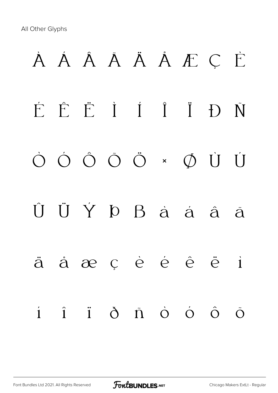All Other Glyphs

### À Á Â Ã Ä Å Æ Ç È É Ê Ë Ì Í Î Ï Ð Ñ Ò Ó Ô Õ Ö × Ø Ù Ú Û Ü Ý Þ ß à á â ã ä å æ ç è é ê ë ì í î ï ð ñ ò ó ô õ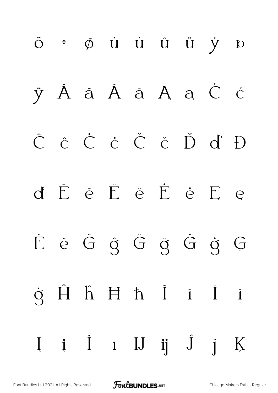### ö + ø ù ú û ü ý p ÿ Ā ā Ă ă Ą ą Ć ć Ĉ ĉ Ċ ċ Č č Ď ď Đ d Ė ė Ě ė Ė ė E e Ě ě Ĝ ĝ Ğ ğ Ġ ġ Ģ  $\dot{\alpha}$   $\dot{H}$   $\dot{\text{h}}$   $\dot{\text{h}}$   $\dot{\text{h}}$   $\dot{\text{I}}$   $\dot{\text{I}}$   $\dot{\text{I}}$  $\overline{1}$  $\begin{bmatrix} 1 & i & i & 1 & 1 & 1 & i \end{bmatrix}$ Ķ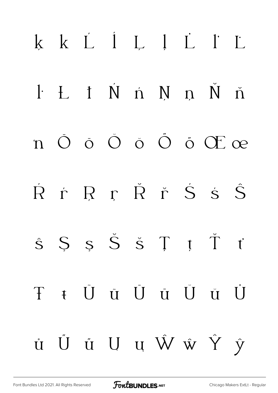# k Ľ ĺ Ļ ļ Ľ ľ Ľ ŀ Ł ł Ń ń Ņ ņ Ň ň 'n Ō ō Ŏ ŏ Ő ő Œ œ Ŕ ŕ Ŗ ŗ Ř ř Ś ś Ŝ ŝ Ş ş Š š Ţ ţ Ť ť Ŧ ŧ Ũ ũ Ū ū Ŭ ŭ Ů ů Ű ű Ų ų Ŵ ŵ Ŷ ŷ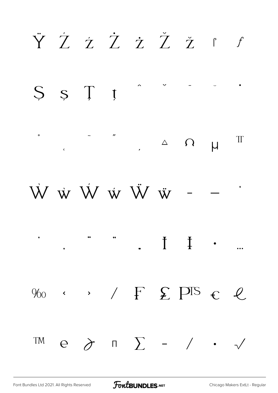ŸŽŽŽŽŽŽřf









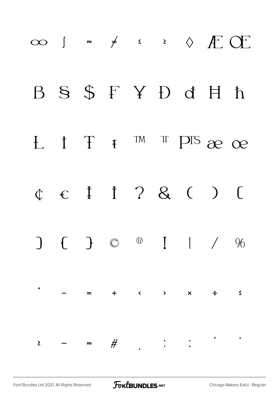|  |  |  | $\infty$ $\rightarrow$ $\neq$ $\rightarrow$ $\Diamond$ $E$ OE                                                                                                                                                                                                                                                               |  |
|--|--|--|-----------------------------------------------------------------------------------------------------------------------------------------------------------------------------------------------------------------------------------------------------------------------------------------------------------------------------|--|
|  |  |  | B S \$ F Y D d H h                                                                                                                                                                                                                                                                                                          |  |
|  |  |  | L 1 T t TM T PIS ae oe                                                                                                                                                                                                                                                                                                      |  |
|  |  |  | $\Phi \quad \in \quad I \quad I \quad ? \quad \& \quad ( ) \quad [$                                                                                                                                                                                                                                                         |  |
|  |  |  |                                                                                                                                                                                                                                                                                                                             |  |
|  |  |  | $\ddot{i}$ = + < > x $\ddot{i}$ <                                                                                                                                                                                                                                                                                           |  |
|  |  |  | $\frac{1}{2}$ $\approx$ $\frac{1}{2}$ $\frac{1}{2}$ $\frac{1}{2}$ $\frac{1}{2}$ $\frac{1}{2}$ $\frac{1}{2}$ $\frac{1}{2}$ $\frac{1}{2}$ $\frac{1}{2}$ $\frac{1}{2}$ $\frac{1}{2}$ $\frac{1}{2}$ $\frac{1}{2}$ $\frac{1}{2}$ $\frac{1}{2}$ $\frac{1}{2}$ $\frac{1}{2}$ $\frac{1}{2}$ $\frac{1}{2}$ $\frac{1}{2}$ $\frac{1}{$ |  |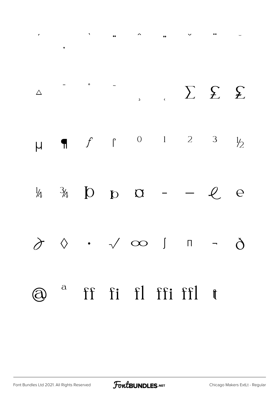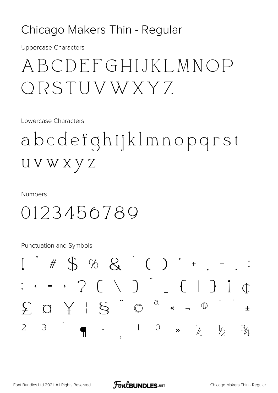#### Chicago Makers Thin - Regular

**Uppercase Characters** 

#### ABCDEFGHIJKLMNOP ORSTUVWXYZ

Lowercase Characters

### abcdefghijklmnopgrst UVWXYZ

**Numbers** 

#### 0123456789

Punctuation and Symbols

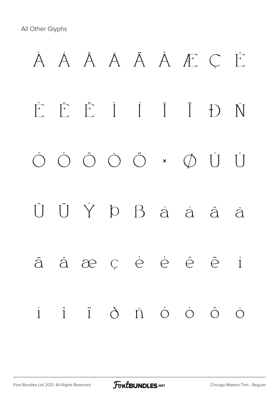All Other Glyphs



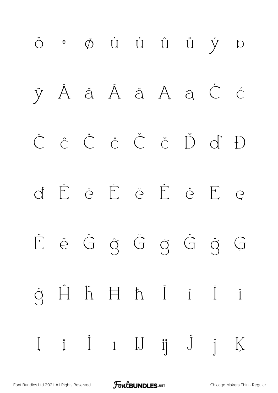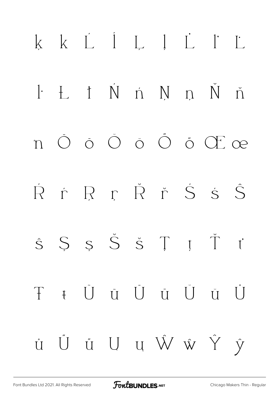

**FoutBUNDLES**.NET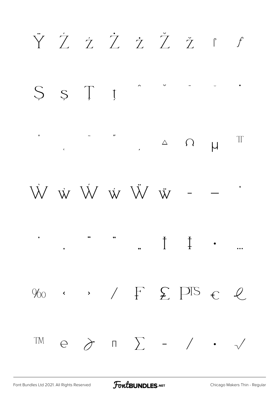ŸŽŽŽŽŽŽ f f  $\begin{array}{ccccccccccccc} \wedge & & \vee & & & \neg & & \neg \end{array}$  $S$   $S$   $T$   $t$  $\prod$ W W W W W  $\sim$   $\sim$   $\%$  · · /  $\qquad$  /  $\qquad$  PIS  $\in$   $\ell$  $e \rightarrow \pi \sum -$ TM

FontBUNDLES.NET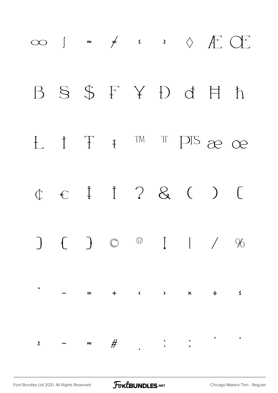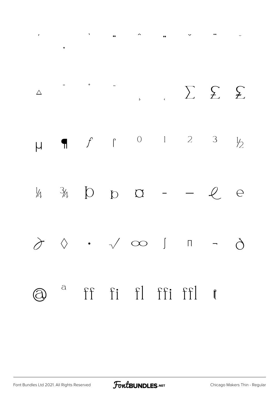

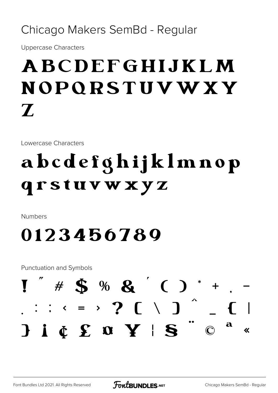#### Chicago Makers SemBd - Regular

**Uppercase Characters** 

### ABCDEFGHIJKLM NOPORSTUVWXY  $\boldsymbol{I}$

Lowercase Characters

### abcdefghijklmnop qrstuvwxyz

**Numbers** 

#### 0123456789

**Punctuation and Symbols**  $#$  \$ % &  $( )$  \*  $: : \cdot = \cdot ?$  [ \ ] ^ Hid fo Y S  $\mathbf a$ 

U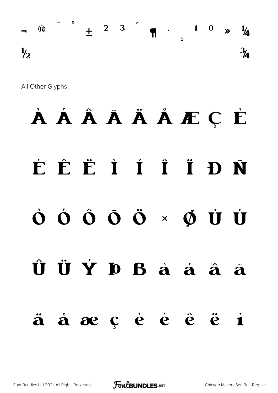|               |  | $-$ ® $-$ ° $+$ 2 3 $'$ $ 1$ 0 $\gg$ $\frac{1}{4}$ |  |  |  |  |               |
|---------------|--|----------------------------------------------------|--|--|--|--|---------------|
| $\frac{1}{2}$ |  |                                                    |  |  |  |  | $\frac{3}{4}$ |

All Other Glyphs

### **À Á Â Ã Ä Å Æ Ç È É Ê Ë Ì Í Î Ï Ð Ñ Ò Ó Ô Õ Ö × Ø Ù Ú Û Ü Ý Þ ß à á â ã ä å æ ç è é ê ë ì**

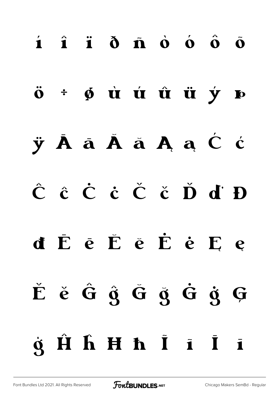# **í î ï ð ñ ò ó ô õ ö ÷ ø ù ú û ü ý þ ÿ Ā ā Ă ă Ą ą Ć ć Ĉ ĉ Ċ ċ Č č Ď ď Đ đ Ē ē Ĕ ĕ Ė ė Ę ę Ě ě Ĝ ĝ Ğ ğ Ġ ġ Ģ ģ Ĥ ĥ Ħ ħ Ĩ ĩ Ī ī**

[Font Bundles Ltd 2021. All Rights Reserved](https://fontbundles.net/) **FoutBUNDLES.NET** [Chicago Makers SemBd - Regular](https://fontbundles.net/)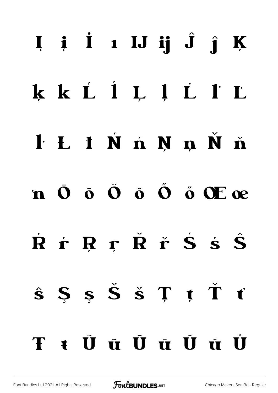## I i İ ı IJ ij Ĵ ĵ K kkl i L J L T L  $l$  L I N  $n$  N  $n$  N  $n$ n Ō ō Ŏ ŏ Ő ő Œœ  $\dot{\mathbf{R}}$   $\dot{\mathbf{r}}$   $\mathbf{R}$   $\dot{\mathbf{r}}$   $\dot{\mathbf{R}}$   $\dot{\mathbf{r}}$   $\dot{\mathbf{S}}$   $\dot{\mathbf{S}}$   $\dot{\mathbf{S}}$  $\hat{\mathbf{s}}$  S s  $\check{\mathbf{S}}$   $\check{\mathbf{s}}$   $\check{\mathbf{T}}$  t  $\check{\mathbf{T}}$  t **T** t Ū ū Ū ū Ŭ ŭ Ů

**FoutBUNDLES**.NET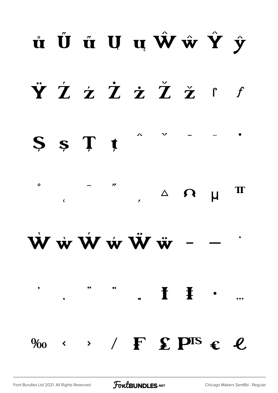

**FoutBUNDLES**.NET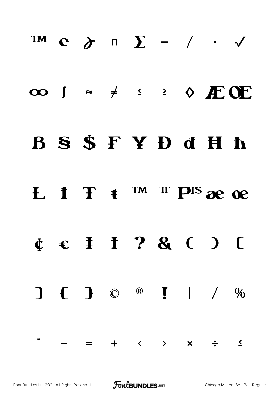# **™ ℮ ∂ ∏ ∑ − ∕ ∙ √ ∞ ∫ ≈ ≠ ≤ ≥ ◊** BSSFYDdHh L 1 T  $\mathbf{f}$   $\mathbf{r}$   $\mathbf{m}$   $\mathbf{r}$   $\mathbf{p}$   $\mathbf{r}$   $\mathbf{p}$   $\mathbf{r}$   $\mathbf{p}$   $\mathbf{r}$   $\mathbf{p}$  $C \t f$   $T$   $S$   $C$   $T$  $\begin{bmatrix} 1 & 1 \end{bmatrix}$   $\begin{bmatrix} 1 & 1 \end{bmatrix}$   $\begin{bmatrix} 0 & 1 \end{bmatrix}$   $\begin{bmatrix} 0 & 1 \end{bmatrix}$   $\begin{bmatrix} 0 & 1 \end{bmatrix}$ \*  $=$   $+$   $\leftarrow$   $\leftarrow$   $\leftarrow$   $\leftarrow$   $\leftarrow$   $\leftarrow$   $\leftarrow$   $\leftarrow$   $\leftarrow$   $\leftarrow$   $\leftarrow$   $\leftarrow$   $\leftarrow$   $\leftarrow$   $\leftarrow$   $\leftarrow$   $\leftarrow$   $\leftarrow$   $\leftarrow$   $\leftarrow$   $\leftarrow$   $\leftarrow$   $\leftarrow$   $\leftarrow$   $\leftarrow$   $\leftarrow$   $\leftarrow$   $\leftarrow$   $\leftarrow$   $\leftarrow$   $\leftarrow$   $\leftarrow$   $\leftarrow$   $\leftarrow$   $\left$

[Font Bundles Ltd 2021. All Rights Reserved](https://fontbundles.net/) **FoutBUNDLES.NET** [Chicago Makers SemBd - Regular](https://fontbundles.net/)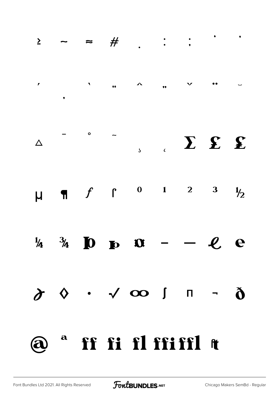

FontBUNDLES.NET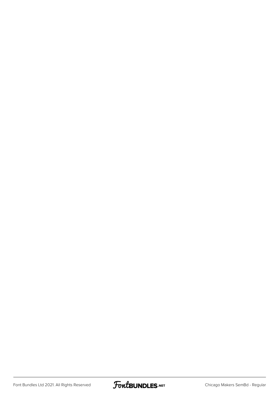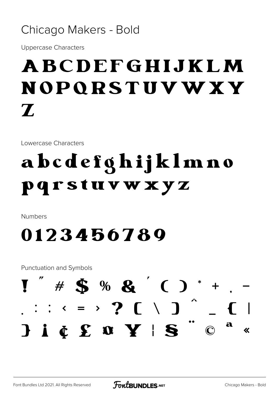#### Chicago Makers - Bold

**Uppercase Characters** 

### ABCDEFGHIJKLM NOPORSTUVWXY  $\boldsymbol{I}$

Lowercase Characters

### abcdefghijklmno pqrstuvwxyz

**Numbers** 

#### 0123456789

**Punctuation and Symbols**  $#$  \$ % &  $( )$  \*  $\vdots$   $\cdot$   $\cdot$   $\cdot$  ?  $\left(\begin{array}{c} 1 \end{array}\right)$ Jič£nY|S a U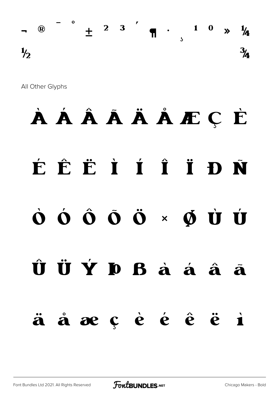| $\frac{1}{2}$ |  |  |  |  |  |  |  |
|---------------|--|--|--|--|--|--|--|

All Other Glyphs

### **À Á Â Ã Ä Å Æ Ç È É Ê Ë Ì Í Î Ï Ð Ñ Ò Ó Ô Õ Ö × Ø Ù Ú Û Ü Ý Þ ß à á â ã ä å æ ç è é ê ë ì**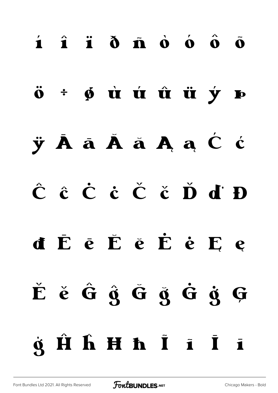# **í î ï ð ñ ò ó ô õ ö ÷ ø ù ú û ü ý þ ÿ Ā ā Ă ă Ą ą Ć ć Ĉ ĉ Ċ ċ Č č Ď ď Đ đ Ē ē Ĕ ĕ Ė ė Ę ę Ě ě Ĝ ĝ Ğ ğ Ġ ġ Ģ ģ Ĥ ĥ Ħ ħ Ĩ ĩ Ī ī**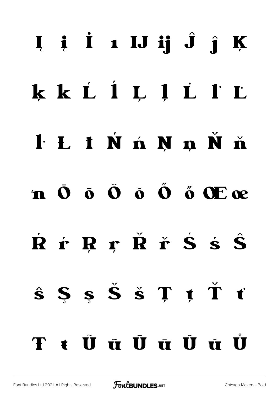## I i İ ı IJ ij Ĵ ĵ Ķ kk L I L I L I L  $1$  L I N n N n N n n Ō ō Ŏ ŏ Ő ő Œœ ŔŕŖŗŘřŚśŜ  $\hat{\mathbf{s}}$  S s  $\check{\mathbf{S}}$   $\check{\mathbf{s}}$   $\check{\mathbf{T}}$  t  $\check{\mathbf{T}}$  t **T** t Ü ū Ü ū Ü ŭ Ü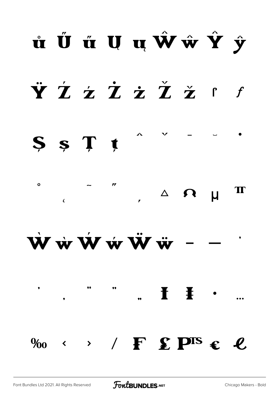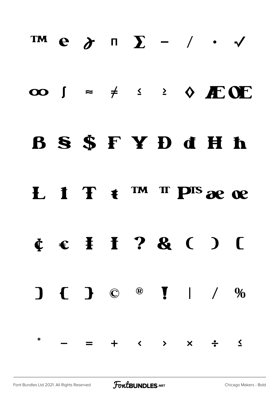# **™ ℮ ∂ ∏ ∑ − ∕ ∙ √ ∞ ∫ ≈ ≠ ≤ ≥ ◊ BSSFYDdHh** L 1 T  $\mathbf{t}$  <sup>TM</sup> T  $\mathbf{P}$ <sup>IS</sup> ae oe  $C \in H$  ? & ( ) (  $\begin{bmatrix} 1 & 1 & 1 \end{bmatrix}$   $\begin{bmatrix} 0 & 0 & 1 \end{bmatrix}$   $\begin{bmatrix} 1 & 1 & 1 \end{bmatrix}$ \*  $-$  = + < > x  $\div$  <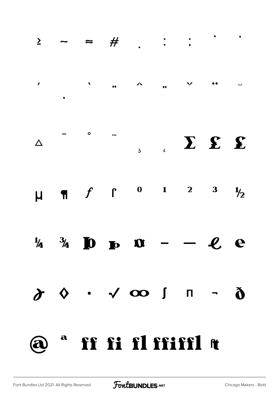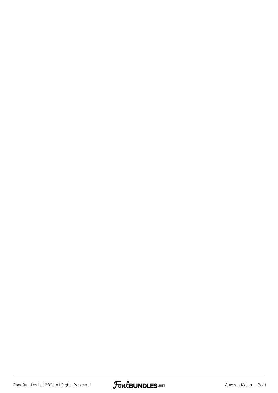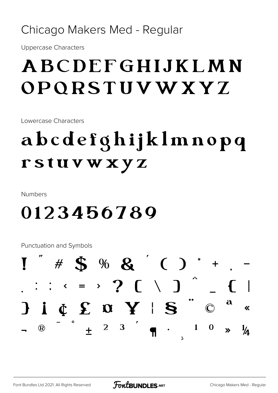Chicago Makers Med - Regular

**Uppercase Characters** 

#### ABCDEFGHIJKLMN OPORSTUVWXYZ

Lowercase Characters

### abcdefghijklmnopq rstuvwxyz

**Numbers** 

#### 0123456789

**Punctuation and Symbols** 

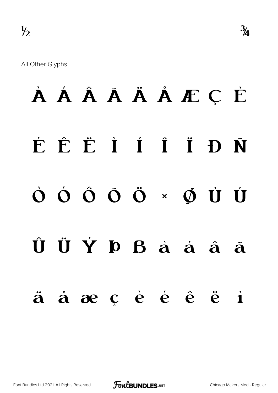All Other Glyphs

### À Á Â Ã Ä Å Æ Ç È É Ê Ë Ì Í Î Ï Ð Ñ Ò Ó Ô Õ Ö × Ø Ù Ú  $\hat{U}$   $\hat{U}$   $\hat{Y}$   $\hat{D}$   $\hat{B}$   $\hat{a}$   $\hat{a}$   $\hat{a}$   $\hat{a}$ ä å æ ç è é ê ë ì

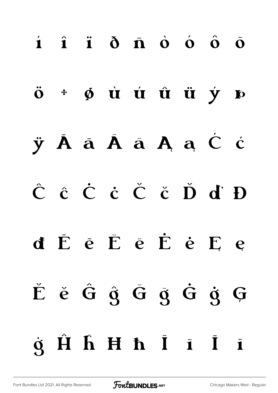# í î ï ð ñ ò ó ô õ ö ÷ ø ù ú û ü ý þ ÿ Ā ā Ă ă Ą ą Ć ć Ĉ ĉ Ċ ċ Č č Ď ď Đ đ Ē ē Ĕ ĕ Ė ė Ę ę  $\check{E}$   $\check{e}$   $\hat{G}$   $\hat{g}$   $\check{G}$   $\check{g}$   $\check{G}$   $\check{g}$   $\check{G}$  $\dot{\alpha}$   $\dot{H}$   $\dot{h}$   $\dot{H}$   $\dot{h}$   $\ddot{I}$   $\ddot{I}$   $\ddot{I}$   $\ddot{I}$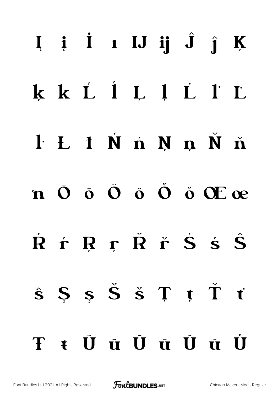## $\mathbf{I}$  i  $\mathbf{I}$  i  $\mathbf{I}$  ij  $\mathbf{J}$  i  $\mathbf{K}$ k k l l l l l l l  $l$  L  $l$  N  $n$  N  $n$  N  $n$ n Ō ō Ŏ ŏ Ő ő **Ö E** œ  $\dot{\mathbf{R}}$   $\dot{\mathbf{r}}$   $\mathbf{R}$   $\mathbf{r}$   $\dot{\mathbf{R}}$   $\dot{\mathbf{r}}$   $\dot{\mathbf{S}}$   $\dot{\mathbf{S}}$   $\dot{\mathbf{S}}$  $\hat{\mathbf{s}}$  S s  $\check{\mathbf{S}}$   $\check{\mathbf{s}}$   $\check{\mathbf{T}}$  t  $\check{\mathbf{T}}$  t T t Ū ū Ū ū Ŭ ŭ Ů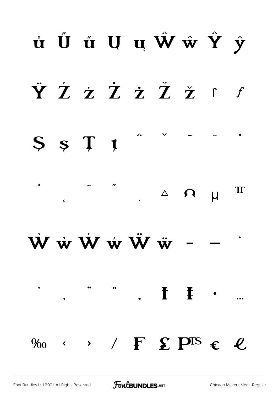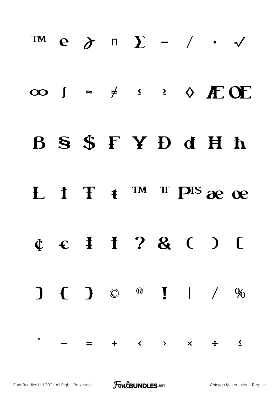# ™ ℮ ∂ ∏ ∑ − ∕ ∙ √  $\infty$   $\int$  ≈  $\neq$   $\leftarrow$   $\infty$   $\wedge$   $\mathbb{F}$  OF B S S F Y D d H h L 1 T  $\mathbf{t}$  <sup>TM</sup> T  $\mathbf{P}^{TS}$  as os  $\Phi \quad \epsilon \quad \mathbf{f} \quad \mathbf{f} \quad ? \quad \mathbf{g} \quad (\quad ) \quad \mathbf{f}$  $\begin{bmatrix} 1 & 1 & 1 \end{bmatrix}$  (b)  $\begin{bmatrix} 0 & 0 & 1 \end{bmatrix}$  (c)  $\begin{bmatrix} 0 & 1 & 1 \end{bmatrix}$  (c)  $\begin{bmatrix} 0 & 0 & 1 \end{bmatrix}$  $\dot{a}$  +  $\dot{b}$  +  $\dot{c}$  +  $\dot{c}$  +  $\dot{c}$  +  $\dot{c}$  +  $\dot{c}$  +  $\dot{c}$  +  $\dot{c}$  +  $\dot{c}$  +  $\dot{c}$  +  $\dot{c}$  +  $\dot{c}$  +  $\dot{c}$  +  $\dot{c}$  +  $\dot{c}$  +  $\dot{c}$  +  $\dot{c}$  +  $\dot{c}$  +  $\dot{c}$  +  $\dot{c}$  +  $\dot{c}$  +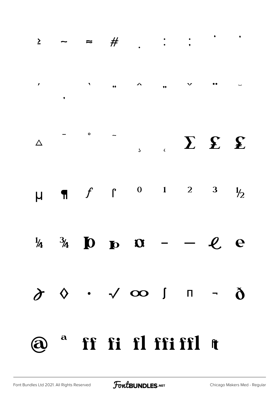

FontBUNDLES.NET